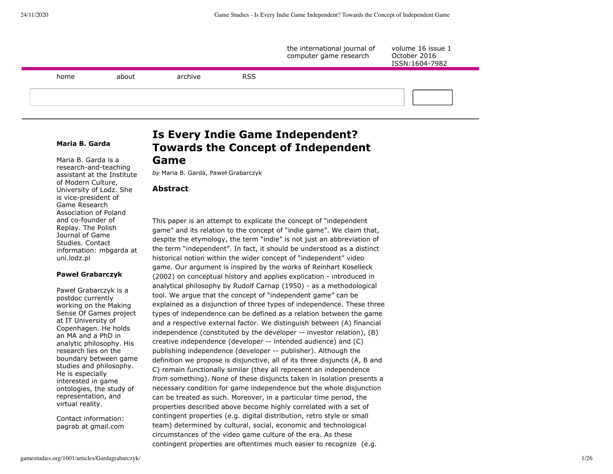

# **Maria B. Garda**

Maria B. Garda is a research-and-teaching assistant at the Institute of Modern Culture, University of Lodz. She is vice-president of Game Research Association of Poland and co-founder of Replay. The Polish Journal of Game Studies. Contact information: mbgarda at uni.lodz.pl

#### **Paweł Grabarczyk**

Paweł Grabarczyk is a postdoc currently working on the Making Sense Of Games project at IT University of Copenhagen. He holds an MA and a PhD in analytic philosophy. His research lies on the boundary between game studies and philosophy. He is especially interested in game ontologies, the study of representation, and virtual reality.

Contact information: pagrab at gmail.com

# **Is Every Indie Game Independent? Towards the Concept of Independent Game**

*by* Maria B. Garda, Paweł Grabarczyk

# **Abstract**

This paper is an attempt to explicate the concept of "independent game" and its relation to the concept of "indie game". We claim that, despite the etymology, the term "indie" is not just an abbreviation of the term "independent". In fact, it should be understood as a distinct historical notion within the wider concept of "independent" video game. Our argument is inspired by the works of Reinhart Koselleck (2002) on conceptual history and applies explication - introduced in analytical philosophy by Rudolf Carnap (1950) - as a methodological tool. We argue that the concept of "independent game" can be explained as a disjunction of three types of independence. These three types of independence can be defined as a relation between the game and a respective external factor. We distinguish between (A) financial independence (constituted by the developer -- investor relation), (B) creative independence (developer -- intended audience) and (C) publishing independence (developer -- publisher). Although the definition we propose is disjunctive, all of its three disjuncts (A, B and C) remain functionally similar (they all represent an independence *from* something). None of these disjuncts taken in isolation presents a necessary condition for game independence but the whole disjunction can be treated as such. Moreover, in a particular time period, the properties described above become highly correlated with a set of contingent properties (e.g. digital distribution, retro style or small team) determined by cultural, social, economic and technological circumstances of the video game culture of the era. As these contingent properties are oftentimes much easier to recognize (e.g.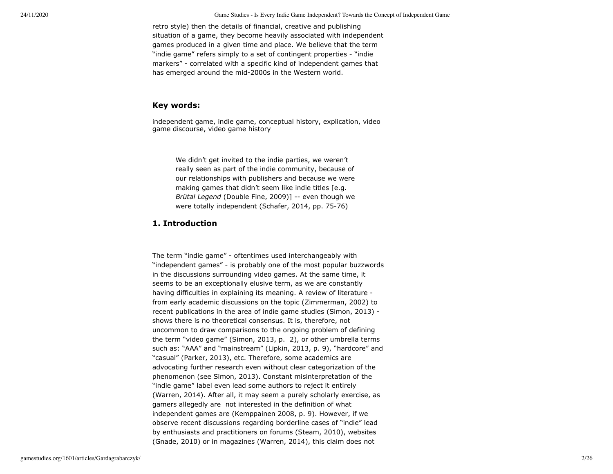retro style) then the details of financial, creative and publishing situation of a game, they become heavily associated with independent games produced in a given time and place. We believe that the term "indie game" refers simply to a set of contingent properties - "indie markers" - correlated with a specific kind of independent games that has emerged around the mid-2000s in the Western world.

# **Key words:**

independent game, indie game, conceptual history, explication, video game discourse, video game history

We didn't get invited to the indie parties, we weren't really seen as part of the indie community, because of our relationships with publishers and because we were making games that didn't seem like indie titles [e.g. *Brütal Legend* (Double Fine, 2009)] -- even though we were totally independent (Schafer, 2014, pp. 75-76)

# **1. Introduction**

The term "indie game" - oftentimes used interchangeably with "independent games" - is probably one of the most popular buzzwords in the discussions surrounding video games. At the same time, it seems to be an exceptionally elusive term, as we are constantly having difficulties in explaining its meaning. A review of literature from early academic discussions on the topic (Zimmerman, 2002) to recent publications in the area of indie game studies (Simon, 2013) shows there is no theoretical consensus. It is, therefore, not uncommon to draw comparisons to the ongoing problem of defining the term "video game" (Simon, 2013, p. 2), or other umbrella terms such as: "AAA" and "mainstream" (Lipkin, 2013, p. 9), "hardcore" and "casual" (Parker, 2013), etc. Therefore, some academics are advocating further research even without clear categorization of the phenomenon (see Simon, 2013). Constant misinterpretation of the "indie game" label even lead some authors to reject it entirely (Warren, 2014). After all, it may seem a purely scholarly exercise, as gamers allegedly are not interested in the definition of what independent games are (Kemppainen 2008, p. 9). However, if we observe recent discussions regarding borderline cases of "indie" lead by enthusiasts and practitioners on forums (Steam, 2010), websites (Gnade, 2010) or in magazines (Warren, 2014), this claim does not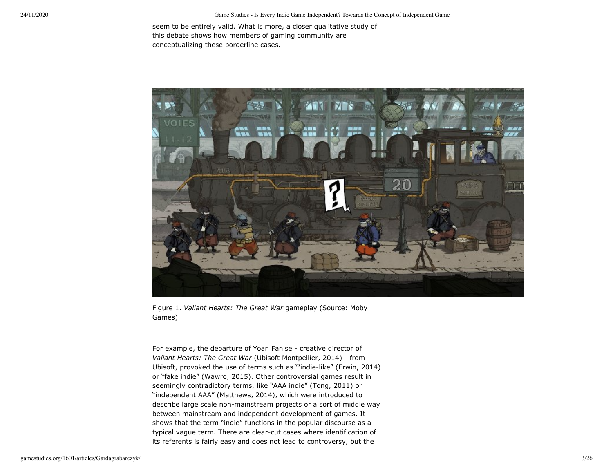seem to be entirely valid. What is more, a closer qualitative study of this debate shows how members of gaming community are conceptualizing these borderline cases.



Figure 1. *Valiant Hearts: The Great War* gameplay (Source: Moby Games)

For example, the departure of Yoan Fanise - creative director of *Valiant Hearts: The Great War* (Ubisoft Montpellier, 2014) - from Ubisoft, provoked the use of terms such as '"indie-like" (Erwin, 2014) or "fake indie" (Wawro, 2015). Other controversial games result in seemingly contradictory terms, like "AAA indie" (Tong, 2011) or "independent AAA" (Matthews, 2014), which were introduced to describe large scale non-mainstream projects or a sort of middle way between mainstream and independent development of games. It shows that the term "indie" functions in the popular discourse as a typical vague term. There are clear-cut cases where identification of its referents is fairly easy and does not lead to controversy, but the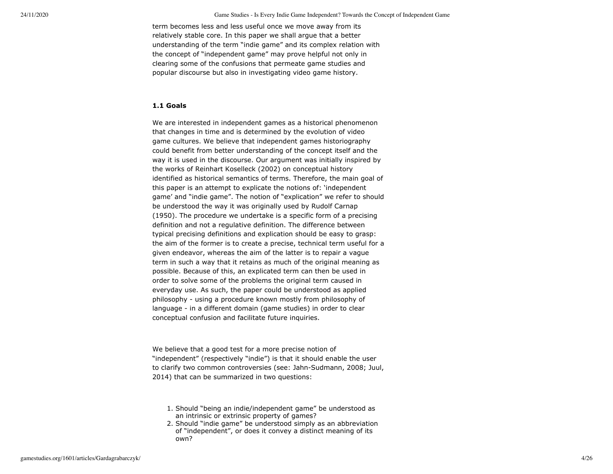term becomes less and less useful once we move away from its relatively stable core. In this paper we shall argue that a better understanding of the term "indie game" and its complex relation with the concept of "independent game" may prove helpful not only in clearing some of the confusions that permeate game studies and popular discourse but also in investigating video game history.

# **1.1 Goals**

We are interested in independent games as a historical phenomenon that changes in time and is determined by the evolution of video game cultures. We believe that independent games historiography could benefit from better understanding of the concept itself and the way it is used in the discourse. Our argument was initially inspired by the works of Reinhart Koselleck (2002) on conceptual history identified as historical semantics of terms. Therefore, the main goal of this paper is an attempt to explicate the notions of: 'independent game' and "indie game". The notion of "explication" we refer to should be understood the way it was originally used by Rudolf Carnap (1950). The procedure we undertake is a specific form of a precising definition and not a regulative definition. The difference between typical precising definitions and explication should be easy to grasp: the aim of the former is to create a precise, technical term useful for a given endeavor, whereas the aim of the latter is to repair a vague term in such a way that it retains as much of the original meaning as possible. Because of this, an explicated term can then be used in order to solve some of the problems the original term caused in everyday use. As such, the paper could be understood as applied philosophy - using a procedure known mostly from philosophy of language - in a different domain (game studies) in order to clear conceptual confusion and facilitate future inquiries.

We believe that a good test for a more precise notion of "independent" (respectively "indie") is that it should enable the user to clarify two common controversies (see: Jahn-Sudmann, 2008; Juul, 2014) that can be summarized in two questions:

- 1. Should "being an indie/independent game" be understood as an intrinsic or extrinsic property of games?
- 2. Should "indie game" be understood simply as an abbreviation of "independent", or does it convey a distinct meaning of its own?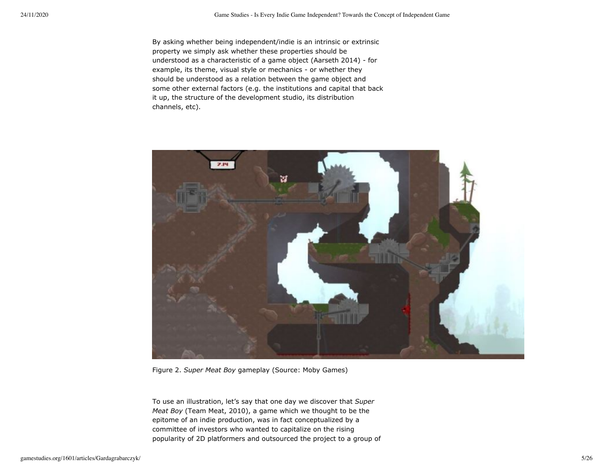By asking whether being independent/indie is an intrinsic or extrinsic property we simply ask whether these properties should be understood as a characteristic of a game object (Aarseth 2014) - for example, its theme, visual style or mechanics - or whether they should be understood as a relation between the game object and some other external factors (e.g. the institutions and capital that back it up, the structure of the development studio, its distribution channels, etc).



Figure 2. *Super Meat Boy* gameplay (Source: Moby Games)

To use an illustration, let's say that one day we discover that *Super Meat Boy* (Team Meat, 2010), a game which we thought to be the epitome of an indie production, was in fact conceptualized by a committee of investors who wanted to capitalize on the rising popularity of 2D platformers and outsourced the project to a group of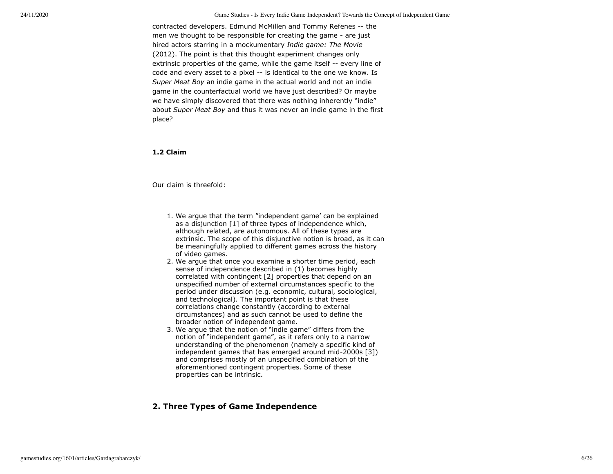contracted developers. Edmund McMillen and Tommy Refenes -- the men we thought to be responsible for creating the game - are just hired actors starring in a mockumentary *Indie game: The Movie* (2012). The point is that this thought experiment changes only extrinsic properties of the game, while the game itself -- every line of code and every asset to a pixel -- is identical to the one we know. Is *Super Meat Boy* an indie game in the actual world and not an indie game in the counterfactual world we have just described? Or maybe we have simply discovered that there was nothing inherently "indie" about *Super Meat Boy* and thus it was never an indie game in the first place?

### **1.2 Claim**

Our claim is threefold:

- 1. We argue that the term "independent game' can be explained as a disjunction [1] of three types of independence which, although related, are autonomous. All of these types are extrinsic. The scope of this disjunctive notion is broad, as it can be meaningfully applied to different games across the history of video games.
- 2. We argue that once you examine a shorter time period, each sense of independence described in (1) becomes highly correlated with contingent [2] properties that depend on an unspecified number of external circumstances specific to the period under discussion (e.g. economic, cultural, sociological, and technological). The important point is that these correlations change constantly (according to external circumstances) and as such cannot be used to define the broader notion of independent game.
- 3. We argue that the notion of "indie game" differs from the notion of "independent game", as it refers only to a narrow understanding of the phenomenon (namely a specific kind of independent games that has emerged around mid-2000s [3]) and comprises mostly of an unspecified combination of the aforementioned contingent properties. Some of these properties can be intrinsic.

# **2. Three Types of Game Independence**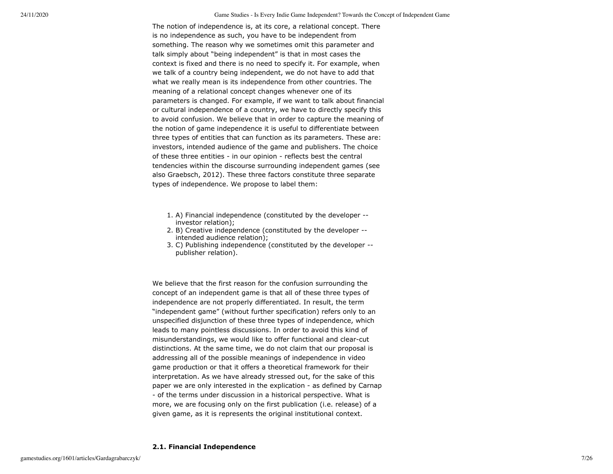The notion of independence is, at its core, a relational concept. There is no independence as such, you have to be independent from something. The reason why we sometimes omit this parameter and talk simply about "being independent" is that in most cases the context is fixed and there is no need to specify it. For example, when we talk of a country being independent, we do not have to add that what we really mean is its independence from other countries. The meaning of a relational concept changes whenever one of its parameters is changed. For example, if we want to talk about financial or cultural independence of a country, we have to directly specify this to avoid confusion. We believe that in order to capture the meaning of the notion of game independence it is useful to differentiate between three types of entities that can function as its parameters. These are: investors, intended audience of the game and publishers. The choice of these three entities - in our opinion - reflects best the central tendencies within the discourse surrounding independent games (see also Graebsch, 2012). These three factors constitute three separate types of independence. We propose to label them:

- 1. A) Financial independence (constituted by the developer investor relation);
- 2. B) Creative independence (constituted by the developer intended audience relation);
- 3. C) Publishing independence (constituted by the developer publisher relation).

We believe that the first reason for the confusion surrounding the concept of an independent game is that all of these three types of independence are not properly differentiated. In result, the term "independent game" (without further specification) refers only to an unspecified disjunction of these three types of independence, which leads to many pointless discussions. In order to avoid this kind of misunderstandings, we would like to offer functional and clear-cut distinctions. At the same time, we do not claim that our proposal is addressing all of the possible meanings of independence in video game production or that it offers a theoretical framework for their interpretation. As we have already stressed out, for the sake of this paper we are only interested in the explication - as defined by Carnap - of the terms under discussion in a historical perspective. What is more, we are focusing only on the first publication (i.e. release) of a given game, as it is represents the original institutional context.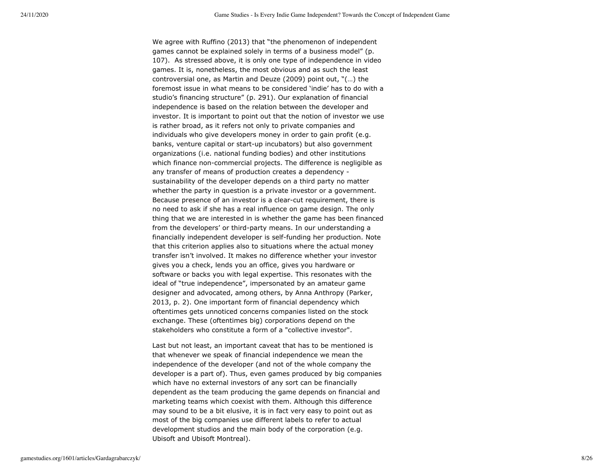We agree with Ruffino (2013) that "the phenomenon of independent games cannot be explained solely in terms of a business model" (p. 107). As stressed above, it is only one type of independence in video games. It is, nonetheless, the most obvious and as such the least controversial one, as Martin and Deuze (2009) point out, "(…) the foremost issue in what means to be considered 'indie' has to do with a studio's financing structure" (p. 291). Our explanation of financial independence is based on the relation between the developer and investor. It is important to point out that the notion of investor we use is rather broad, as it refers not only to private companies and individuals who give developers money in order to gain profit (e.g. banks, venture capital or start-up incubators) but also government organizations (i.e. national funding bodies) and other institutions which finance non-commercial projects. The difference is negligible as any transfer of means of production creates a dependency sustainability of the developer depends on a third party no matter whether the party in question is a private investor or a government. Because presence of an investor is a clear-cut requirement, there is no need to ask if she has a real influence on game design. The only thing that we are interested in is whether the game has been financed from the developers' or third-party means. In our understanding a financially independent developer is self-funding her production. Note that this criterion applies also to situations where the actual money transfer isn't involved. It makes no difference whether your investor gives you a check, lends you an office, gives you hardware or software or backs you with legal expertise. This resonates with the ideal of "true independence", impersonated by an amateur game designer and advocated, among others, by Anna Anthropy (Parker, 2013, p. 2). One important form of financial dependency which oftentimes gets unnoticed concerns companies listed on the stock exchange. These (oftentimes big) corporations depend on the stakeholders who constitute a form of a "collective investor".

Last but not least, an important caveat that has to be mentioned is that whenever we speak of financial independence we mean the independence of the developer (and not of the whole company the developer is a part of). Thus, even games produced by big companies which have no external investors of any sort can be financially dependent as the team producing the game depends on financial and marketing teams which coexist with them. Although this difference may sound to be a bit elusive, it is in fact very easy to point out as most of the big companies use different labels to refer to actual development studios and the main body of the corporation (e.g. Ubisoft and Ubisoft Montreal).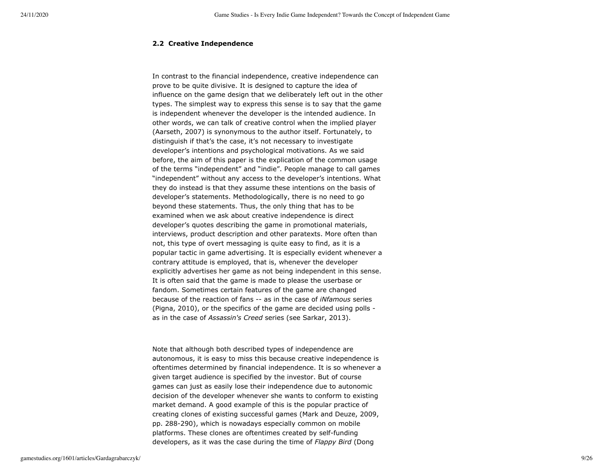### **2.2 Creative Independence**

In contrast to the financial independence, creative independence can prove to be quite divisive. It is designed to capture the idea of influence on the game design that we deliberately left out in the other types. The simplest way to express this sense is to say that the game is independent whenever the developer is the intended audience. In other words, we can talk of creative control when the implied player (Aarseth, 2007) is synonymous to the author itself. Fortunately, to distinguish if that's the case, it's not necessary to investigate developer's intentions and psychological motivations. As we said before, the aim of this paper is the explication of the common usage of the terms "independent" and "indie". People manage to call games "independent" without any access to the developer's intentions. What they do instead is that they assume these intentions on the basis of developer's statements. Methodologically, there is no need to go beyond these statements. Thus, the only thing that has to be examined when we ask about creative independence is direct developer's quotes describing the game in promotional materials, interviews, product description and other paratexts. More often than not, this type of overt messaging is quite easy to find, as it is a popular tactic in game advertising. It is especially evident whenever a contrary attitude is employed, that is, whenever the developer explicitly advertises her game as not being independent in this sense. It is often said that the game is made to please the userbase or fandom. Sometimes certain features of the game are changed because of the reaction of fans -- as in the case of *iNfamous* series (Pigna, 2010), or the specifics of the game are decided using polls as in the case of *Assassin's Creed* series (see Sarkar, 2013).

Note that although both described types of independence are autonomous, it is easy to miss this because creative independence is oftentimes determined by financial independence. It is so whenever a given target audience is specified by the investor. But of course games can just as easily lose their independence due to autonomic decision of the developer whenever she wants to conform to existing market demand. A good example of this is the popular practice of creating clones of existing successful games (Mark and Deuze, 2009, pp. 288-290), which is nowadays especially common on mobile platforms. These clones are oftentimes created by self-funding developers, as it was the case during the time of *Flappy Bird* (Dong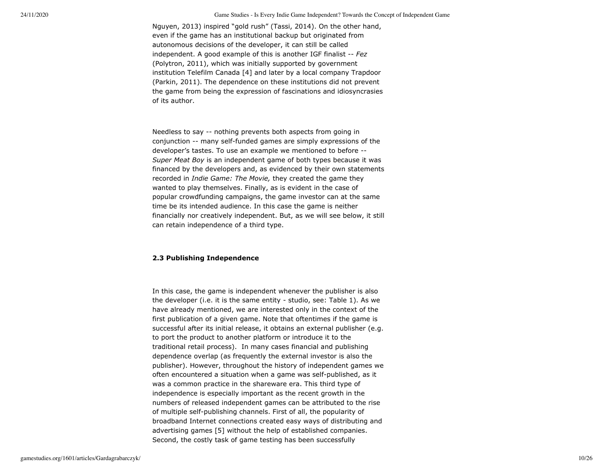Nguyen, 2013) inspired "gold rush" (Tassi, 2014). On the other hand, even if the game has an institutional backup but originated from autonomous decisions of the developer, it can still be called independent. A good example of this is another IGF finalist -- *Fez* (Polytron, 2011), which was initially supported by government institution Telefilm Canada [4] and later by a local company Trapdoor (Parkin, 2011). The dependence on these institutions did not prevent the game from being the expression of fascinations and idiosyncrasies of its author.

Needless to say -- nothing prevents both aspects from going in conjunction -- many self-funded games are simply expressions of the developer's tastes. To use an example we mentioned to before -- *Super Meat Boy* is an independent game of both types because it was financed by the developers and, as evidenced by their own statements recorded in *Indie Game: The Movie,* they created the game they wanted to play themselves. Finally, as is evident in the case of popular crowdfunding campaigns, the game investor can at the same time be its intended audience. In this case the game is neither financially nor creatively independent. But, as we will see below, it still can retain independence of a third type.

# **2.3 Publishing Independence**

In this case, the game is independent whenever the publisher is also the developer (i.e. it is the same entity - studio, see: Table 1). As we have already mentioned, we are interested only in the context of the first publication of a given game. Note that oftentimes if the game is successful after its initial release, it obtains an external publisher (e.g. to port the product to another platform or introduce it to the traditional retail process). In many cases financial and publishing dependence overlap (as frequently the external investor is also the publisher). However, throughout the history of independent games we often encountered a situation when a game was self-published, as it was a common practice in the shareware era. This third type of independence is especially important as the recent growth in the numbers of released independent games can be attributed to the rise of multiple self-publishing channels. First of all, the popularity of broadband Internet connections created easy ways of distributing and advertising games [5] without the help of established companies. Second, the costly task of game testing has been successfully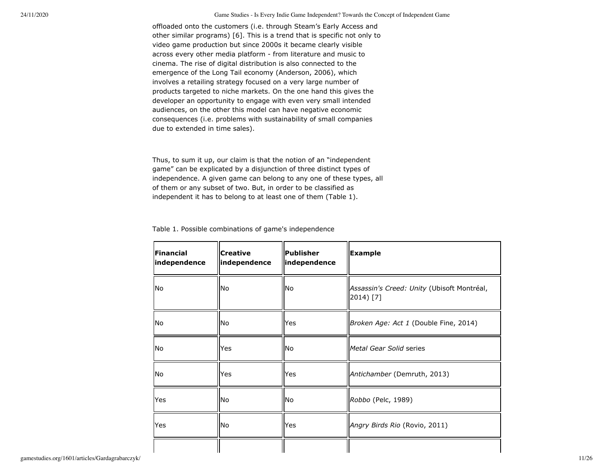offloaded onto the customers (i.e. through Steam's Early Access and other similar programs) [6]. This is a trend that is specific not only to video game production but since 2000s it became clearly visible across every other media platform - from literature and music to cinema. The rise of digital distribution is also connected to the emergence of the Long Tail economy (Anderson, 2006), which involves a retailing strategy focused on a very large number of products targeted to niche markets. On the one hand this gives the developer an opportunity to engage with even very small intended audiences, on the other this model can have negative economic consequences (i.e. problems with sustainability of small companies due to extended in time sales).

Thus, to sum it up, our claim is that the notion of an "independent game" can be explicated by a disjunction of three distinct types of independence. A given game can belong to any one of these types, all of them or any subset of two. But, in order to be classified as independent it has to belong to at least one of them (Table 1).

Table 1. Possible combinations of game's independence

| Financial<br>independence | <b>Creative</b><br>independence | <b>Publisher</b><br>independence | <b>Example</b>                                          |
|---------------------------|---------------------------------|----------------------------------|---------------------------------------------------------|
| No                        | No                              | lNo.                             | Assassin's Creed: Unity (Ubisoft Montréal,<br>2014) [7] |
| No                        | No                              | Yes                              | Broken Age: Act 1 (Double Fine, 2014)                   |
| No                        | Yes                             | lNo.                             | <i>Metal Gear Solid series</i>                          |
| No                        | Yes                             | lYes                             | Antichamber (Demruth, 2013)                             |
| Yes                       | No.                             | lNo.                             | Robbo (Pelc, 1989)                                      |
| Yes                       | No                              | lYes                             | Angry Birds Rio (Rovio, 2011)                           |
|                           |                                 |                                  |                                                         |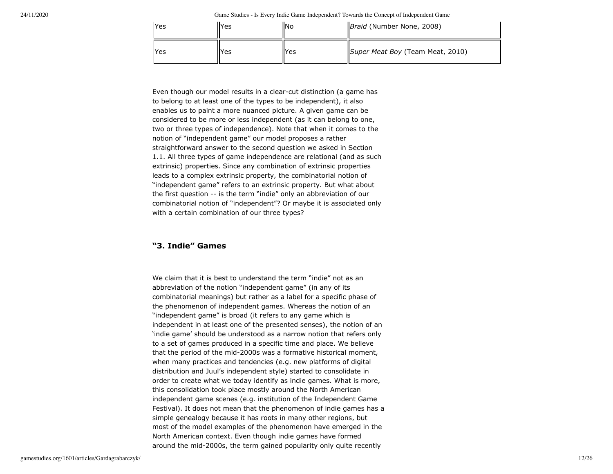| Yes        | <b>Yes</b> | llNo | <i>Braid</i> (Number None, 2008) |
|------------|------------|------|----------------------------------|
| <b>Yes</b> | Yes        | lYes | Super Meat Boy (Team Meat, 2010) |

Even though our model results in a clear-cut distinction (a game has to belong to at least one of the types to be independent), it also enables us to paint a more nuanced picture. A given game can be considered to be more or less independent (as it can belong to one, two or three types of independence). Note that when it comes to the notion of "independent game" our model proposes a rather straightforward answer to the second question we asked in Section 1.1. All three types of game independence are relational (and as such extrinsic) properties. Since any combination of extrinsic properties leads to a complex extrinsic property, the combinatorial notion of "independent game" refers to an extrinsic property. But what about the first question -- is the term "indie" only an abbreviation of our combinatorial notion of "independent"? Or maybe it is associated only with a certain combination of our three types?

# **"3. Indie" Games**

We claim that it is best to understand the term "indie" not as an abbreviation of the notion "independent game" (in any of its combinatorial meanings) but rather as a label for a specific phase of the phenomenon of independent games. Whereas the notion of an "independent game" is broad (it refers to any game which is independent in at least one of the presented senses), the notion of an 'indie game' should be understood as a narrow notion that refers only to a set of games produced in a specific time and place. We believe that the period of the mid-2000s was a formative historical moment, when many practices and tendencies (e.g. new platforms of digital distribution and Juul's independent style) started to consolidate in order to create what we today identify as indie games. What is more, this consolidation took place mostly around the North American independent game scenes (e.g. institution of the Independent Game Festival). It does not mean that the phenomenon of indie games has a simple genealogy because it has roots in many other regions, but most of the model examples of the phenomenon have emerged in the North American context. Even though indie games have formed around the mid-2000s, the term gained popularity only quite recently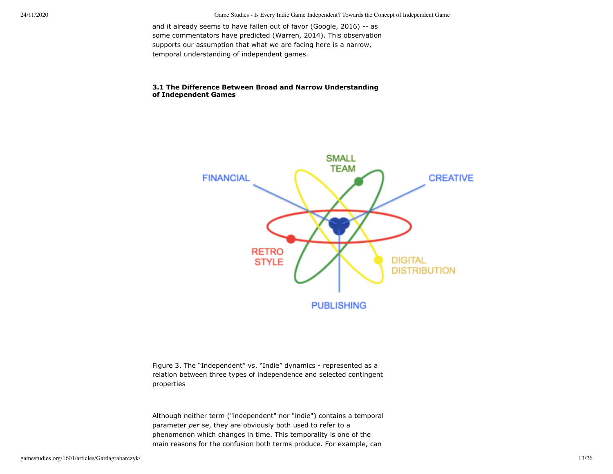and it already seems to have fallen out of favor (Google, 2016) -- as some commentators have predicted (Warren, 2014). This observation supports our assumption that what we are facing here is a narrow, temporal understanding of independent games.

# **3.1 The Difference Between Broad and Narrow Understanding of Independent Games**



Figure 3. The "Independent" vs. "Indie" dynamics - represented as a relation between three types of independence and selected contingent properties

Although neither term ("independent" nor "indie") contains a temporal parameter *per se*, they are obviously both used to refer to a phenomenon which changes in time. This temporality is one of the main reasons for the confusion both terms produce. For example, can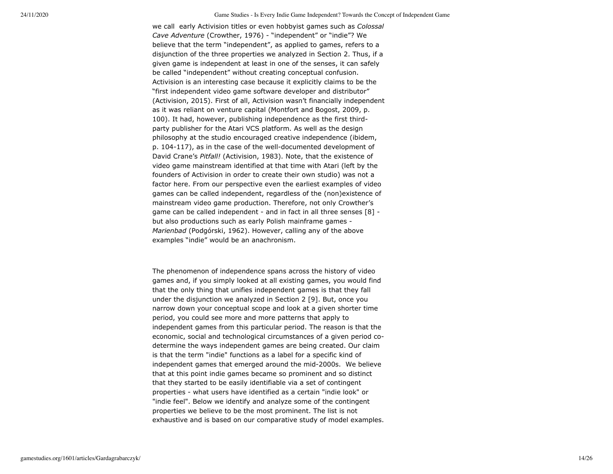we call early Activision titles or even hobbyist games such as *Colossal Cave Adventure* (Crowther, 1976) - "independent" or "indie"? We believe that the term "independent", as applied to games, refers to a disjunction of the three properties we analyzed in Section 2. Thus, if a given game is independent at least in one of the senses, it can safely be called "independent" without creating conceptual confusion. Activision is an interesting case because it explicitly claims to be the "first independent video game software developer and distributor" (Activision, 2015). First of all, Activision wasn't financially independent as it was reliant on venture capital (Montfort and Bogost, 2009, p. 100). It had, however, publishing independence as the first thirdparty publisher for the Atari VCS platform. As well as the design philosophy at the studio encouraged creative independence (ibidem, p. 104-117), as in the case of the well-documented development of David Crane's *Pitfall!* (Activision, 1983). Note, that the existence of video game mainstream identified at that time with Atari (left by the founders of Activision in order to create their own studio) was not a factor here. From our perspective even the earliest examples of video games can be called independent, regardless of the (non)existence of mainstream video game production. Therefore, not only Crowther's game can be called independent - and in fact in all three senses [8] but also productions such as early Polish mainframe games - *Marienbad* (Podgórski, 1962). However, calling any of the above examples "indie" would be an anachronism.

The phenomenon of independence spans across the history of video games and, if you simply looked at all existing games, you would find that the only thing that unifies independent games is that they fall under the disjunction we analyzed in Section 2 [9]. But, once you narrow down your conceptual scope and look at a given shorter time period, you could see more and more patterns that apply to independent games from this particular period. The reason is that the economic, social and technological circumstances of a given period codetermine the ways independent games are being created. Our claim is that the term "indie" functions as a label for a specific kind of independent games that emerged around the mid-2000s. We believe that at this point indie games became so prominent and so distinct that they started to be easily identifiable via a set of contingent properties - what users have identified as a certain "indie look" or "indie feel". Below we identify and analyze some of the contingent properties we believe to be the most prominent. The list is not exhaustive and is based on our comparative study of model examples.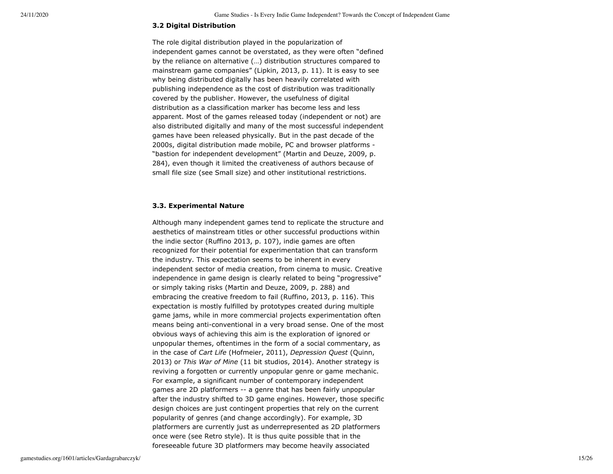## **3.2 Digital Distribution**

The role digital distribution played in the popularization of independent games cannot be overstated, as they were often "defined by the reliance on alternative (…) distribution structures compared to mainstream game companies" (Lipkin, 2013, p. 11). It is easy to see why being distributed digitally has been heavily correlated with publishing independence as the cost of distribution was traditionally covered by the publisher. However, the usefulness of digital distribution as a classification marker has become less and less apparent. Most of the games released today (independent or not) are also distributed digitally and many of the most successful independent games have been released physically. But in the past decade of the 2000s, digital distribution made mobile, PC and browser platforms - "bastion for independent development" (Martin and Deuze, 2009, p. 284), even though it limited the creativeness of authors because of small file size (see Small size) and other institutional restrictions.

## **3.3. Experimental Nature**

Although many independent games tend to replicate the structure and aesthetics of mainstream titles or other successful productions within the indie sector (Ruffino 2013, p. 107), indie games are often recognized for their potential for experimentation that can transform the industry. This expectation seems to be inherent in every independent sector of media creation, from cinema to music. Creative independence in game design is clearly related to being "progressive" or simply taking risks (Martin and Deuze, 2009, p. 288) and embracing the creative freedom to fail (Ruffino, 2013, p. 116). This expectation is mostly fulfilled by prototypes created during multiple game jams, while in more commercial projects experimentation often means being anti-conventional in a very broad sense. One of the most obvious ways of achieving this aim is the exploration of ignored or unpopular themes, oftentimes in the form of a social commentary, as in the case of *Cart Life* (Hofmeier, 2011), *Depression Quest* (Quinn, 2013) or *This War of Mine* (11 bit studios, 2014). Another strategy is reviving a forgotten or currently unpopular genre or game mechanic. For example, a significant number of contemporary independent games are 2D platformers -- a genre that has been fairly unpopular after the industry shifted to 3D game engines. However, those specific design choices are just contingent properties that rely on the current popularity of genres (and change accordingly). For example, 3D platformers are currently just as underrepresented as 2D platformers once were (see Retro style). It is thus quite possible that in the foreseeable future 3D platformers may become heavily associated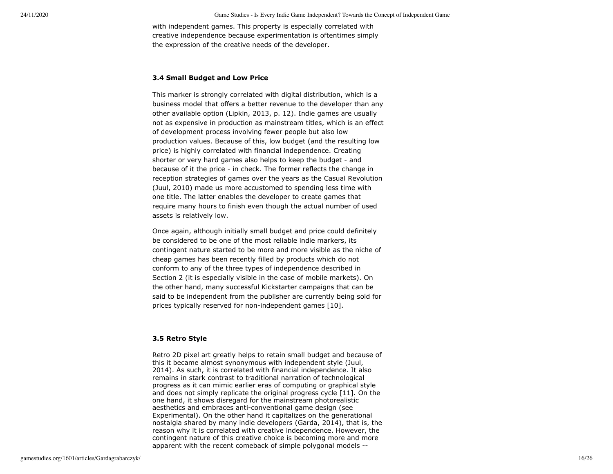with independent games. This property is especially correlated with creative independence because experimentation is oftentimes simply the expression of the creative needs of the developer.

# **3.4 Small Budget and Low Price**

This marker is strongly correlated with digital distribution, which is a business model that offers a better revenue to the developer than any other available option (Lipkin, 2013, p. 12). Indie games are usually not as expensive in production as mainstream titles, which is an effect of development process involving fewer people but also low production values. Because of this, low budget (and the resulting low price) is highly correlated with financial independence. Creating shorter or very hard games also helps to keep the budget - and because of it the price - in check. The former reflects the change in reception strategies of games over the years as the Casual Revolution (Juul, 2010) made us more accustomed to spending less time with one title. The latter enables the developer to create games that require many hours to finish even though the actual number of used assets is relatively low.

Once again, although initially small budget and price could definitely be considered to be one of the most reliable indie markers, its contingent nature started to be more and more visible as the niche of cheap games has been recently filled by products which do not conform to any of the three types of independence described in Section 2 (it is especially visible in the case of mobile markets). On the other hand, many successful Kickstarter campaigns that can be said to be independent from the publisher are currently being sold for prices typically reserved for non-independent games [10].

## **3.5 Retro Style**

Retro 2D pixel art greatly helps to retain small budget and because of this it became almost synonymous with independent style (Juul, 2014). As such, it is correlated with financial independence. It also remains in stark contrast to traditional narration of technological progress as it can mimic earlier eras of computing or graphical style and does not simply replicate the original progress cycle [11]. On the one hand, it shows disregard for the mainstream photorealistic aesthetics and embraces anti-conventional game design (see Experimental). On the other hand it capitalizes on the generational nostalgia shared by many indie developers (Garda, 2014), that is, the reason why it is correlated with creative independence. However, the contingent nature of this creative choice is becoming more and more apparent with the recent comeback of simple polygonal models --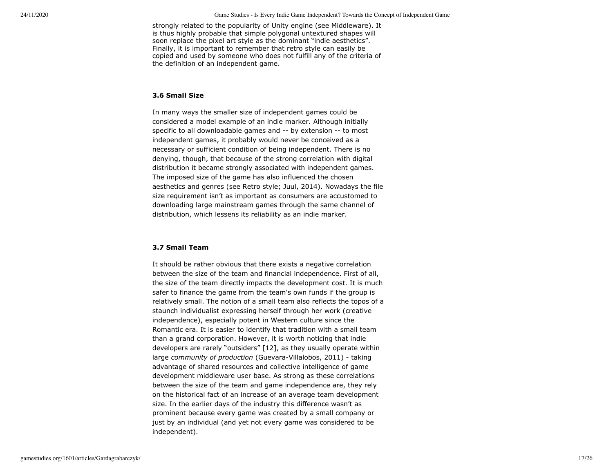strongly related to the popularity of Unity engine (see Middleware). It is thus highly probable that simple polygonal untextured shapes will soon replace the pixel art style as the dominant "indie aesthetics". Finally, it is important to remember that retro style can easily be copied and used by someone who does not fulfill any of the criteria of the definition of an independent game.

#### **3.6 Small Size**

In many ways the smaller size of independent games could be considered a model example of an indie marker. Although initially specific to all downloadable games and -- by extension -- to most independent games, it probably would never be conceived as a necessary or sufficient condition of being independent. There is no denying, though, that because of the strong correlation with digital distribution it became strongly associated with independent games. The imposed size of the game has also influenced the chosen aesthetics and genres (see Retro style; Juul, 2014). Nowadays the file size requirement isn't as important as consumers are accustomed to downloading large mainstream games through the same channel of distribution, which lessens its reliability as an indie marker.

#### **3.7 Small Team**

It should be rather obvious that there exists a negative correlation between the size of the team and financial independence. First of all, the size of the team directly impacts the development cost. It is much safer to finance the game from the team's own funds if the group is relatively small. The notion of a small team also reflects the topos of a staunch individualist expressing herself through her work (creative independence), especially potent in Western culture since the Romantic era. It is easier to identify that tradition with a small team than a grand corporation. However, it is worth noticing that indie developers are rarely "outsiders" [12], as they usually operate within large *community of production* (Guevara-Villalobos, 2011) - taking advantage of shared resources and collective intelligence of game development middleware user base. As strong as these correlations between the size of the team and game independence are, they rely on the historical fact of an increase of an average team development size. In the earlier days of the industry this difference wasn't as prominent because every game was created by a small company or just by an individual (and yet not every game was considered to be independent).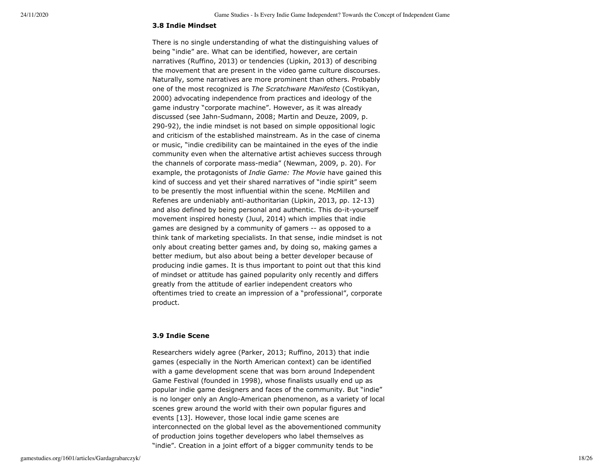#### **3.8 Indie Mindset**

There is no single understanding of what the distinguishing values of being "indie" are. What can be identified, however, are certain narratives (Ruffino, 2013) or tendencies (Lipkin, 2013) of describing the movement that are present in the video game culture discourses. Naturally, some narratives are more prominent than others. Probably one of the most recognized is *The Scratchware Manifesto* (Costikyan, 2000) advocating independence from practices and ideology of the game industry "corporate machine". However, as it was already discussed (see Jahn-Sudmann, 2008; Martin and Deuze, 2009, p. 290-92), the indie mindset is not based on simple oppositional logic and criticism of the established mainstream. As in the case of cinema or music, "indie credibility can be maintained in the eyes of the indie community even when the alternative artist achieves success through the channels of corporate mass-media" (Newman, 2009, p. 20). For example, the protagonists of *Indie Game: The Movie* have gained this kind of success and yet their shared narratives of "indie spirit" seem to be presently the most influential within the scene. McMillen and Refenes are undeniably anti-authoritarian (Lipkin, 2013, pp. 12-13) and also defined by being personal and authentic. This do-it-yourself movement inspired honesty (Juul, 2014) which implies that indie games are designed by a community of gamers -- as opposed to a think tank of marketing specialists. In that sense, indie mindset is not only about creating better games and, by doing so, making games a better medium, but also about being a better developer because of producing indie games. It is thus important to point out that this kind of mindset or attitude has gained popularity only recently and differs greatly from the attitude of earlier independent creators who oftentimes tried to create an impression of a "professional", corporate product.

# **3.9 Indie Scene**

Researchers widely agree (Parker, 2013; Ruffino, 2013) that indie games (especially in the North American context) can be identified with a game development scene that was born around Independent Game Festival (founded in 1998), whose finalists usually end up as popular indie game designers and faces of the community. But "indie" is no longer only an Anglo-American phenomenon, as a variety of local scenes grew around the world with their own popular figures and events [13]. However, those local indie game scenes are interconnected on the global level as the abovementioned community of production joins together developers who label themselves as "indie". Creation in a joint effort of a bigger community tends to be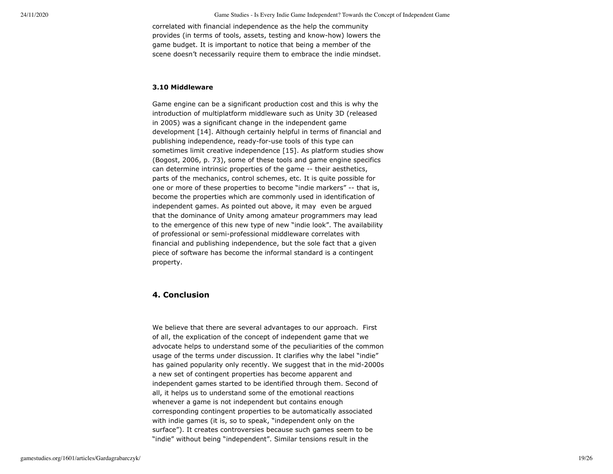correlated with financial independence as the help the community provides (in terms of tools, assets, testing and know-how) lowers the game budget. It is important to notice that being a member of the scene doesn't necessarily require them to embrace the indie mindset.

## **3.10 Middleware**

Game engine can be a significant production cost and this is why the introduction of multiplatform middleware such as Unity 3D (released in 2005) was a significant change in the independent game development [14]. Although certainly helpful in terms of financial and publishing independence, ready-for-use tools of this type can sometimes limit creative independence [15]. As platform studies show (Bogost, 2006, p. 73), some of these tools and game engine specifics can determine intrinsic properties of the game -- their aesthetics, parts of the mechanics, control schemes, etc. It is quite possible for one or more of these properties to become "indie markers" -- that is, become the properties which are commonly used in identification of independent games. As pointed out above, it may even be argued that the dominance of Unity among amateur programmers may lead to the emergence of this new type of new "indie look". The availability of professional or semi-professional middleware correlates with financial and publishing independence, but the sole fact that a given piece of software has become the informal standard is a contingent property.

# **4. Conclusion**

We believe that there are several advantages to our approach. First of all, the explication of the concept of independent game that we advocate helps to understand some of the peculiarities of the common usage of the terms under discussion. It clarifies why the label "indie" has gained popularity only recently. We suggest that in the mid-2000s a new set of contingent properties has become apparent and independent games started to be identified through them. Second of all, it helps us to understand some of the emotional reactions whenever a game is not independent but contains enough corresponding contingent properties to be automatically associated with indie games (it is, so to speak, "independent only on the surface"). It creates controversies because such games seem to be "indie" without being "independent". Similar tensions result in the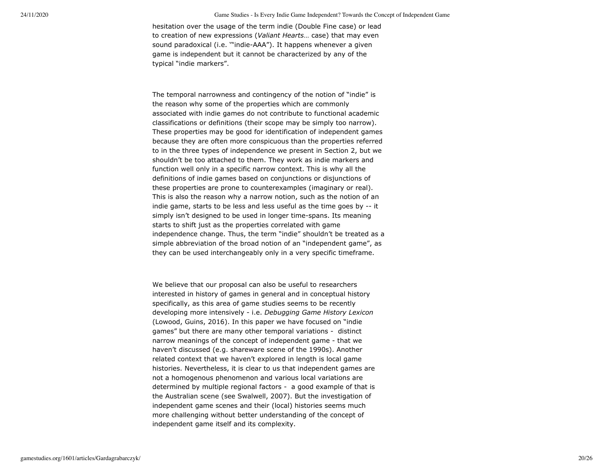hesitation over the usage of the term indie (Double Fine case) or lead to creation of new expressions (*Valiant Hearts*… case) that may even sound paradoxical (i.e. '"indie-AAA"). It happens whenever a given game is independent but it cannot be characterized by any of the typical "indie markers".

The temporal narrowness and contingency of the notion of "indie" is the reason why some of the properties which are commonly associated with indie games do not contribute to functional academic classifications or definitions (their scope may be simply too narrow). These properties may be good for identification of independent games because they are often more conspicuous than the properties referred to in the three types of independence we present in Section 2, but we shouldn't be too attached to them. They work as indie markers and function well only in a specific narrow context. This is why all the definitions of indie games based on conjunctions or disjunctions of these properties are prone to counterexamples (imaginary or real). This is also the reason why a narrow notion, such as the notion of an indie game, starts to be less and less useful as the time goes by -- it simply isn't designed to be used in longer time-spans. Its meaning starts to shift just as the properties correlated with game independence change. Thus, the term "indie" shouldn't be treated as a simple abbreviation of the broad notion of an "independent game", as they can be used interchangeably only in a very specific timeframe.

We believe that our proposal can also be useful to researchers interested in history of games in general and in conceptual history specifically, as this area of game studies seems to be recently developing more intensively - i.e. *Debugging Game History Lexicon* (Lowood, Guins, 2016). In this paper we have focused on "indie games" but there are many other temporal variations - distinct narrow meanings of the concept of independent game - that we haven't discussed (e.g. shareware scene of the 1990s). Another related context that we haven't explored in length is local game histories. Nevertheless, it is clear to us that independent games are not a homogenous phenomenon and various local variations are determined by multiple regional factors - a good example of that is the Australian scene (see Swalwell, 2007). But the investigation of independent game scenes and their (local) histories seems much more challenging without better understanding of the concept of independent game itself and its complexity.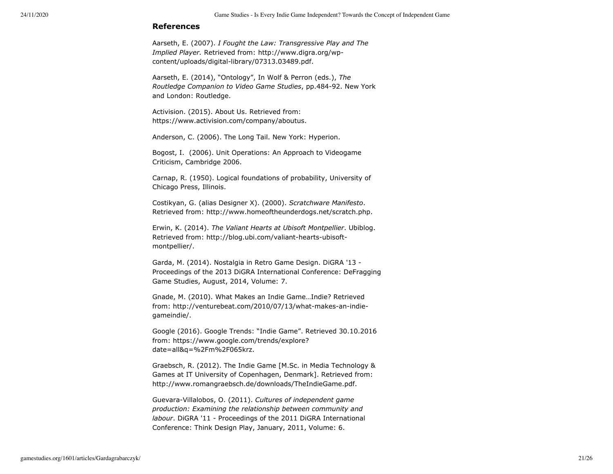# **References**

Aarseth, E. (2007). *I Fought the Law: Transgressive Play and The Implied Player.* Retrieved from: http://www.digra.org/wpcontent/uploads/digital-library/07313.03489.pdf.

Aarseth, E. (2014), "Ontology", In Wolf & Perron (eds.), *The Routledge Companion to Video Game Studies*, pp.484-92. New York and London: Routledge.

Activision. (2015). About Us. Retrieved from: https://www.activision.com/company/aboutus.

Anderson, C. (2006). The Long Tail. New York: Hyperion.

Bogost, I. (2006). Unit Operations: An Approach to Videogame Criticism, Cambridge 2006.

Carnap, R. (1950). Logical foundations of probability, University of Chicago Press, Illinois.

Costikyan, G. (alias Designer X). (2000). *Scratchware Manifesto*. Retrieved from: http://www.homeoftheunderdogs.net/scratch.php.

Erwin, K. (2014). *The Valiant Hearts at Ubisoft Montpellier*. Ubiblog. Retrieved from: http://blog.ubi.com/valiant-hearts-ubisoftmontpellier/.

Garda, M. (2014). Nostalgia in Retro Game Design. DiGRA '13 - Proceedings of the 2013 DiGRA International Conference: DeFragging Game Studies, August, 2014, Volume: 7.

Gnade, M. (2010). What Makes an Indie Game…Indie? Retrieved from: http://venturebeat.com/2010/07/13/what-makes-an-indiegameindie/.

Google (2016). Google Trends: "Indie Game". Retrieved 30.10.2016 from: https://www.google.com/trends/explore? date=all&q=%2Fm%2F065krz.

Graebsch, R. (2012). The Indie Game [M.Sc. in Media Technology & Games at IT University of Copenhagen, Denmark]. Retrieved from: http://www.romangraebsch.de/downloads/TheIndieGame.pdf.

Guevara-Villalobos, O. (2011). *Cultures of independent game production: Examining the relationship between community and labour*. DiGRA '11 - Proceedings of the 2011 DiGRA International Conference: Think Design Play, January, 2011, Volume: 6.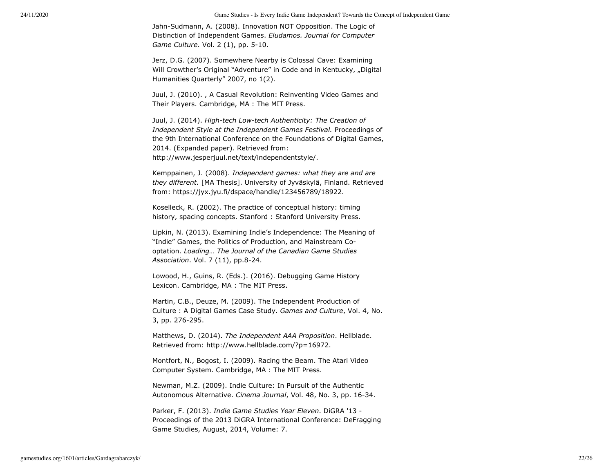Jahn-Sudmann, A. (2008). Innovation NOT Opposition. The Logic of Distinction of Independent Games. *Eludamos. Journal for Computer Game Culture*. Vol. 2 (1), pp. 5-10.

Jerz, D.G. (2007). Somewhere Nearby is Colossal Cave: Examining Will Crowther's Original "Adventure" in Code and in Kentucky, "Digital Humanities Quarterly" 2007, no 1(2).

Juul, J. (2010). , A Casual Revolution: Reinventing Video Games and Their Players. Cambridge, MA : The MIT Press.

Juul, J. (2014). *High-tech Low-tech Authenticity: The Creation of Independent Style at the Independent Games Festival.* Proceedings of the 9th International Conference on the Foundations of Digital Games, 2014. (Expanded paper). Retrieved from: http://www.jesperjuul.net/text/independentstyle/.

Kemppainen, J. (2008). *Independent games: what they are and are they different.* [MA Thesis]. University of Jyväskylä, Finland. Retrieved from: https://jyx.jyu.fi/dspace/handle/123456789/18922.

Koselleck, R. (2002). The practice of conceptual history: timing history, spacing concepts. Stanford : Stanford University Press.

Lipkin, N. (2013). Examining Indie's Independence: The Meaning of "Indie" Games, the Politics of Production, and Mainstream Cooptation. *Loading… The Journal of the Canadian Game Studies Association*. Vol. 7 (11), pp.8-24.

Lowood, H., Guins, R. (Eds.). (2016). Debugging Game History Lexicon. Cambridge, MA : The MIT Press.

Martin, C.B., Deuze, M. (2009). The Independent Production of Culture : A Digital Games Case Study. *Games and Culture*, Vol. 4, No. 3, pp. 276-295.

Matthews, D. (2014). *The Independent AAA Proposition*. Hellblade. Retrieved from: http://www.hellblade.com/?p=16972.

Montfort, N., Bogost, I. (2009). Racing the Beam. The Atari Video Computer System. Cambridge, MA : The MIT Press.

Newman, M.Z. (2009). Indie Culture: In Pursuit of the Authentic Autonomous Alternative. *Cinema Journal*, Vol. 48, No. 3, pp. 16-34.

Parker, F. (2013). *Indie Game Studies Year Eleven*. DiGRA '13 - Proceedings of the 2013 DiGRA International Conference: DeFragging Game Studies, August, 2014, Volume: 7.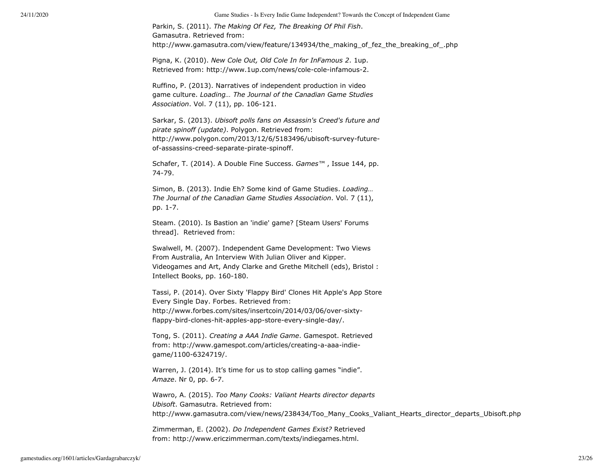Parkin, S. (2011). *The Making Of Fez, The Breaking Of Phil Fish*. Gamasutra. Retrieved from: http://www.gamasutra.com/view/feature/134934/the\_making\_of\_fez\_the\_breaking\_of\_.php

Pigna, K. (2010). *New Cole Out, Old Cole In for InFamous 2*. 1up. Retrieved from: http://www.1up.com/news/cole-cole-infamous-2.

Ruffino, P. (2013). Narratives of independent production in video game culture. *Loading… The Journal of the Canadian Game Studies Association*. Vol. 7 (11), pp. 106-121.

Sarkar, S. (2013). *Ubisoft polls fans on Assassin's Creed's future and pirate spinoff (update)*. Polygon. Retrieved from: http://www.polygon.com/2013/12/6/5183496/ubisoft-survey-futureof-assassins-creed-separate-pirate-spinoff.

Schafer, T. (2014). A Double Fine Success. *Games™* , Issue 144, pp. 74-79.

Simon, B. (2013). Indie Eh? Some kind of Game Studies. *Loading… The Journal of the Canadian Game Studies Association*. Vol. 7 (11), pp. 1-7.

Steam. (2010). Is Bastion an 'indie' game? [Steam Users' Forums thread]. Retrieved from:

Swalwell, M. (2007). Independent Game Development: Two Views From Australia, An Interview With Julian Oliver and Kipper. Videogames and Art, Andy Clarke and Grethe Mitchell (eds), Bristol : Intellect Books, pp. 160-180.

Tassi, P. (2014). Over Sixty 'Flappy Bird' Clones Hit Apple's App Store Every Single Day. Forbes. Retrieved from: http://www.forbes.com/sites/insertcoin/2014/03/06/over-sixtyflappy-bird-clones-hit-apples-app-store-every-single-day/.

Tong, S. (2011). *Creating a AAA Indie Game*. Gamespot. Retrieved from: http://www.gamespot.com/articles/creating-a-aaa-indiegame/1100-6324719/.

Warren, J. (2014). It's time for us to stop calling games "indie". *Amaze*. Nr 0, pp. 6-7.

Wawro, A. (2015). *Too Many Cooks: Valiant Hearts director departs Ubisoft*. Gamasutra. Retrieved from: http://www.gamasutra.com/view/news/238434/Too\_Many\_Cooks\_Valiant\_Hearts\_director\_departs\_Ubisoft.php

Zimmerman, E. (2002). *Do Independent Games Exist?* Retrieved from: http://www.ericzimmerman.com/texts/indiegames.html.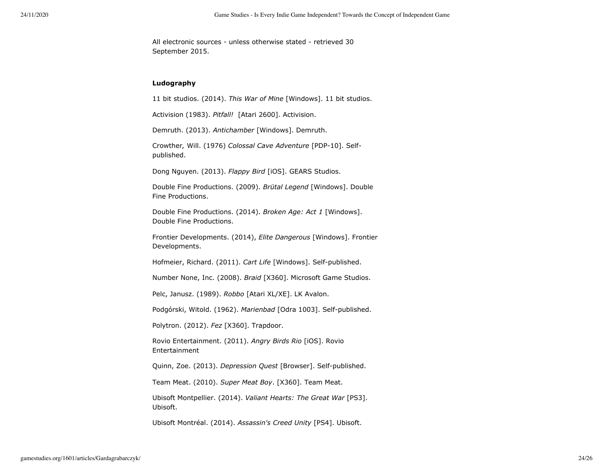All electronic sources - unless otherwise stated - retrieved 30 September 2015.

# **Ludography**

11 bit studios. (2014). *This War of Mine* [Windows]. 11 bit studios.

Activision (1983). *Pitfall!* [Atari 2600]. Activision.

Demruth. (2013). *Antichamber* [Windows]. Demruth.

Crowther*,* Will. (1976) *Colossal Cave Adventure* [PDP-10]. Selfpublished.

Dong Nguyen. (2013). *Flappy Bird* [iOS]. GEARS Studios.

Double Fine Productions. (2009). *Brütal Legend* [Windows]. Double Fine Productions.

Double Fine Productions. (2014). *Broken Age: Act 1* [Windows]. Double Fine Productions.

Frontier Developments. (2014), *Elite Dangerous* [Windows]. Frontier Developments.

Hofmeier, Richard. (2011). *Cart Life* [Windows]. Self-published.

Number None, Inc. (2008). *Braid* [X360]. Microsoft Game Studios.

Pelc, Janusz. (1989). *Robbo* [Atari XL/XE]. LK Avalon.

Podgórski, Witold. (1962). *Marienbad* [Odra 1003]. Self-published.

Polytron. (2012). *Fez* [X360]. Trapdoor.

Rovio Entertainment. (2011). *Angry Birds Rio* [iOS]. Rovio Entertainment

Quinn, Zoe. (2013). *Depression Quest* [Browser]. Self-published.

Team Meat. (2010). *Super Meat Boy*. [X360]. Team Meat.

Ubisoft Montpellier. (2014). *Valiant Hearts: The Great War* [PS3]. Ubisoft.

Ubisoft Montréal. (2014). *Assassin's Creed Unity* [PS4]. Ubisoft.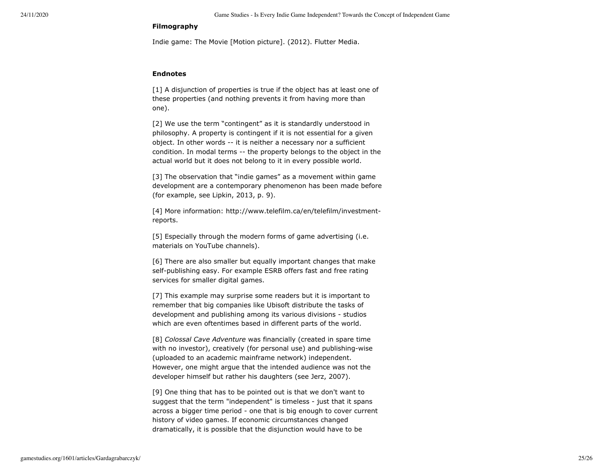#### **Filmography**

Indie game: The Movie [Motion picture]. (2012). Flutter Media.

# **Endnotes**

[1] A disjunction of properties is true if the object has at least one of these properties (and nothing prevents it from having more than one).

[2] We use the term "contingent" as it is standardly understood in philosophy. A property is contingent if it is not essential for a given object. In other words -- it is neither a necessary nor a sufficient condition. In modal terms -- the property belongs to the object in the actual world but it does not belong to it in every possible world.

[3] The observation that "indie games" as a movement within game development are a contemporary phenomenon has been made before (for example, see Lipkin, 2013, p. 9).

[4] More information: http://www.telefilm.ca/en/telefilm/investmentreports.

[5] Especially through the modern forms of game advertising (i.e. materials on YouTube channels).

[6] There are also smaller but equally important changes that make self-publishing easy. For example ESRB offers fast and free rating services for smaller digital games.

[7] This example may surprise some readers but it is important to remember that big companies like Ubisoft distribute the tasks of development and publishing among its various divisions - studios which are even oftentimes based in different parts of the world.

[8] *Colossal Cave Adventure* was financially (created in spare time with no investor), creatively (for personal use) and publishing-wise (uploaded to an academic mainframe network) independent. However, one might argue that the intended audience was not the developer himself but rather his daughters (see Jerz, 2007).

[9] One thing that has to be pointed out is that we don't want to suggest that the term "independent" is timeless - just that it spans across a bigger time period - one that is big enough to cover current history of video games. If economic circumstances changed dramatically, it is possible that the disjunction would have to be